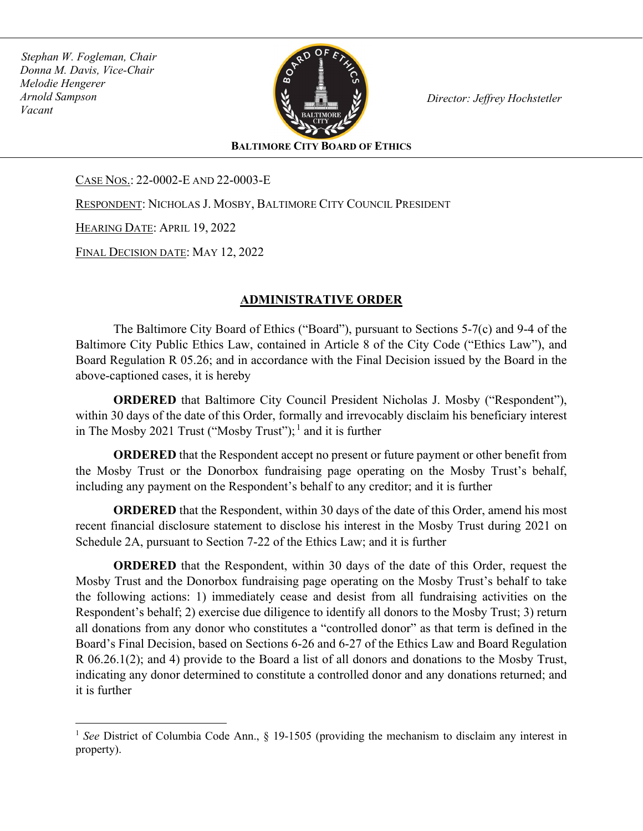*Stephan W. Fogleman, Chair Donna M. Davis, Vice-Chair Melodie Hengerer Arnold Sampson Vacant* 



*Director: Jeffrey Hochstetler* 

**BALTIMORE CITY BOARD OF ETHICS**

CASE NOS.: 22-0002-E AND 22-0003-E

RESPONDENT: NICHOLAS J. MOSBY, BALTIMORE CITY COUNCIL PRESIDENT

HEARING DATE: APRIL 19, 2022

FINAL DECISION DATE: MAY 12, 2022

## **ADMINISTRATIVE ORDER**

The Baltimore City Board of Ethics ("Board"), pursuant to Sections 5-7(c) and 9-4 of the Baltimore City Public Ethics Law, contained in Article 8 of the City Code ("Ethics Law"), and Board Regulation R 05.26; and in accordance with the Final Decision issued by the Board in the above-captioned cases, it is hereby

**ORDERED** that Baltimore City Council President Nicholas J. Mosby ("Respondent"), within 30 days of the date of this Order, formally and irrevocably disclaim his beneficiary interest in The Mosby 2021 Trust ("Mosby Trust");  $\frac{1}{2}$  and it is further

**ORDERED** that the Respondent accept no present or future payment or other benefit from the Mosby Trust or the Donorbox fundraising page operating on the Mosby Trust's behalf, including any payment on the Respondent's behalf to any creditor; and it is further

**ORDERED** that the Respondent, within 30 days of the date of this Order, amend his most recent financial disclosure statement to disclose his interest in the Mosby Trust during 2021 on Schedule 2A, pursuant to Section 7-22 of the Ethics Law; and it is further

**ORDERED** that the Respondent, within 30 days of the date of this Order, request the Mosby Trust and the Donorbox fundraising page operating on the Mosby Trust's behalf to take the following actions: 1) immediately cease and desist from all fundraising activities on the Respondent's behalf; 2) exercise due diligence to identify all donors to the Mosby Trust; 3) return all donations from any donor who constitutes a "controlled donor" as that term is defined in the Board's Final Decision, based on Sections 6-26 and 6-27 of the Ethics Law and Board Regulation R 06.26.1(2); and 4) provide to the Board a list of all donors and donations to the Mosby Trust, indicating any donor determined to constitute a controlled donor and any donations returned; and it is further

<sup>&</sup>lt;sup>1</sup> See District of Columbia Code Ann., § 19-1505 (providing the mechanism to disclaim any interest in property).